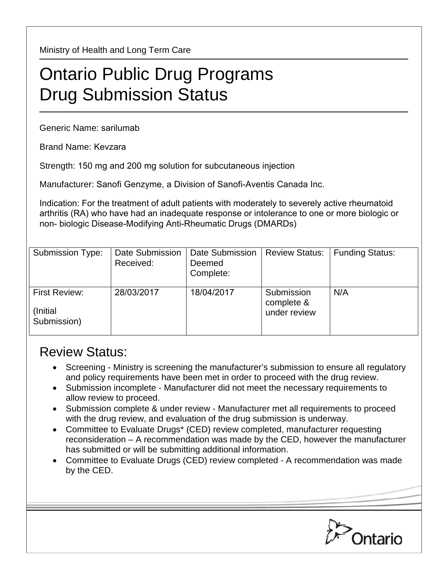Ministry of Health and Long Term Care

## Ontario Public Drug Programs Drug Submission Status

Generic Name: sarilumab

Brand Name: Kevzara

Strength: 150 mg and 200 mg solution for subcutaneous injection

Manufacturer: Sanofi Genzyme, a Division of Sanofi-Aventis Canada Inc.

Indication: For the treatment of adult patients with moderately to severely active rheumatoid arthritis (RA) who have had an inadequate response or intolerance to one or more biologic or non- biologic Disease-Modifying Anti-Rheumatic Drugs (DMARDs)

| <b>Submission Type:</b>                          | Date Submission<br>Received: | Date Submission<br>Deemed<br>Complete: | <b>Review Status:</b>                    | <b>Funding Status:</b> |
|--------------------------------------------------|------------------------------|----------------------------------------|------------------------------------------|------------------------|
| <b>First Review:</b><br>(Initial)<br>Submission) | 28/03/2017                   | 18/04/2017                             | Submission<br>complete &<br>under review | N/A                    |

## Review Status:

- Screening Ministry is screening the manufacturer's submission to ensure all regulatory and policy requirements have been met in order to proceed with the drug review.
- Submission incomplete Manufacturer did not meet the necessary requirements to allow review to proceed.
- Submission complete & under review Manufacturer met all requirements to proceed with the drug review, and evaluation of the drug submission is underway.
- Committee to Evaluate Drugs\* (CED) review completed, manufacturer requesting reconsideration – A recommendation was made by the CED, however the manufacturer has submitted or will be submitting additional information.
- Committee to Evaluate Drugs (CED) review completed A recommendation was made by the CED.